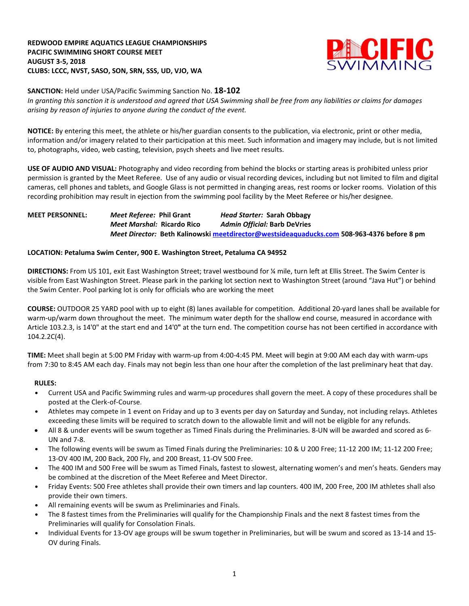### **REDWOOD EMPIRE AQUATICS LEAGUE CHAMPIONSHIPS PACIFIC SWIMMING SHORT COURSE MEET AUGUST 3-5, 2018 CLUBS: LCCC, NVST, SASO, SON, SRN, SSS, UD, VJO, WA**



**SANCTION:** Held under USA/Pacific Swimming Sanction No. **18-102**

In granting this sanction it is understood and agreed that USA Swimming shall be free from any liabilities or claims for damages *arising by reason of injuries to anyone during the conduct of the event.*

**NOTICE:** By entering this meet, the athlete or his/her guardian consents to the publication, via electronic, print or other media, information and/or imagery related to their participation at this meet. Such information and imagery may include, but is not limited to, photographs, video, web casting, television, psych sheets and live meet results.

**USE OF AUDIO AND VISUAL:** Photography and video recording from behind the blocks or starting areas is prohibited unless prior permission is granted by the Meet Referee. Use of any audio or visual recording devices, including but not limited to film and digital cameras, cell phones and tablets, and Google Glass is not permitted in changing areas, rest rooms or locker rooms. Violation of this recording prohibition may result in ejection from the swimming pool facility by the Meet Referee or his/her designee.

## **MEET PERSONNEL:** *Meet Referee:* **Phil Grant** *Head Starter:* **Sarah Obbagy** *Meet Marshal:* **Ricardo Rico** *Admin Official:* **Barb DeVries** *Meet Director:* **Beth Kalinowski [meetdirector@westsideaquaducks.com](mailto:meetdirector@westsideaquaducks.com) 508-963-4376 before 8 pm**

### **LOCATION: Petaluma Swim Center, 900 E. Washington Street, Petaluma CA 94952**

**DIRECTIONS:** From US 101, exit East Washington Street; travel westbound for ¼ mile, turn left at Ellis Street. The Swim Center is visible from East Washington Street. Please park in the parking lot section next to Washington Street (around "Java Hut") or behind the Swim Center. Pool parking lot is only for officials who are working the meet

**COURSE:** OUTDOOR 25 YARD pool with up to eight (8) lanes available for competition.Additional 20-yard lanes shall be available for warm-up/warm down throughout the meet. The minimum water depth for the shallow end course, measured in accordance with Article 103.2.3, is 14'0" at the start end and 14'0**"** at the turn end. The competition course has not been certified in accordance with 104.2.2C(4).

**TIME:** Meet shall begin at 5:00 PM Friday with warm-up from 4:00-4:45 PM. Meet will begin at 9:00 AM each day with warm-ups from 7:30 to 8:45 AM each day. Finals may not begin less than one hour after the completion of the last preliminary heat that day.

#### **RULES:**

- **•** Current USA and Pacific Swimming rules and warm-up procedures shall govern the meet. A copy of these procedures shall be posted at the Clerk-of-Course.
- **•** Athletes may compete in 1 event on Friday and up to 3 events per day on Saturday and Sunday, not including relays. Athletes exceeding these limits will be required to scratch down to the allowable limit and will not be eligible for any refunds.
- All 8 & under events will be swum together as Timed Finals during the Preliminaries. 8-UN will be awarded and scored as 6- UN and 7-8.
- **•** The following events will be swum as Timed Finals during the Preliminaries: 10 & U 200 Free; 11-12 200 IM; 11-12 200 Free; 13-OV 400 IM, 200 Back, 200 Fly, and 200 Breast, 11-OV 500 Free.
- **•** The 400 IM and 500 Free will be swum as Timed Finals, fastest to slowest, alternating women's and men's heats. Genders may be combined at the discretion of the Meet Referee and Meet Director.
- **•** Friday Events: 500 Free athletes shall provide their own timers and lap counters. 400 IM, 200 Free, 200 IM athletes shall also provide their own timers.
- **•** All remaining events will be swum as Preliminaries and Finals.
- **•** The 8 fastest times from the Preliminaries will qualify for the Championship Finals and the next 8 fastest times from the Preliminaries will qualify for Consolation Finals.
- **•** Individual Events for 13-OV age groups will be swum together in Preliminaries, but will be swum and scored as 13-14 and 15- OV during Finals.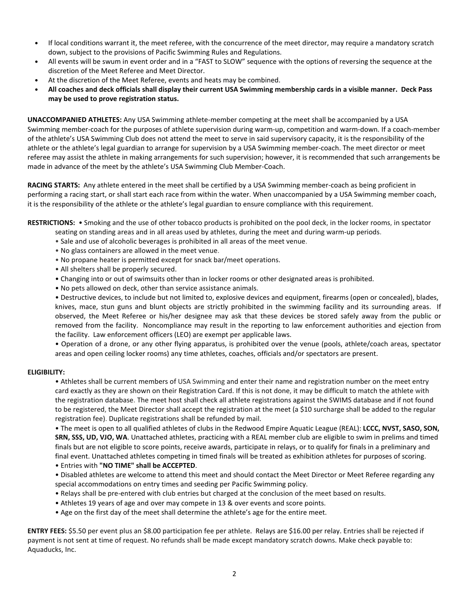- **•** If local conditions warrant it, the meet referee, with the concurrence of the meet director, may require a mandatory scratch down, subject to the provisions of Pacific Swimming Rules and Regulations.
- **•** All events will be swum in event order and in a "FAST to SLOW" sequence with the options of reversing the sequence at the discretion of the Meet Referee and Meet Director.
- **•** At the discretion of the Meet Referee, events and heats may be combined.
- All coaches and deck officials shall display their current USA Swimming membership cards in a visible manner. Deck Pass **may be used to prove registration status.**

**UNACCOMPANIED ATHLETES:** Any USA Swimming athlete-member competing at the meet shall be accompanied by a USA Swimming member-coach for the purposes of athlete supervision during warm-up, competition and warm-down. If a coach-member of the athlete's USA Swimming Club does not attend the meet to serve in said supervisory capacity, it is the responsibility of the athlete or the athlete's legal guardian to arrange for supervision by a USA Swimming member-coach. The meet director or meet referee may assist the athlete in making arrangements for such supervision; however, it is recommended that such arrangements be made in advance of the meet by the athlete's USA Swimming Club Member-Coach.

**RACING STARTS:** Any athlete entered in the meet shall be certified by a USA Swimming member-coach as being proficient in performing a racing start, or shall start each race from within the water. When unaccompanied by a USA Swimming member coach, it is the responsibility of the athlete or the athlete's legal guardian to ensure compliance with this requirement.

**RESTRICTIONS:** • Smoking and the use of other tobacco products is prohibited on the pool deck, in the locker rooms, in spectator

seating on standing areas and in all areas used by athletes, during the meet and during warm-up periods.

- Sale and use of alcoholic beverages is prohibited in all areas of the meet venue.
- No glass containers are allowed in the meet venue.
- No propane heater is permitted except for snack bar/meet operations.
- All shelters shall be properly secured.
- Changing into or out of swimsuits other than in locker rooms or other designated areas is prohibited.
- No pets allowed on deck, other than service assistance animals.

• Destructive devices, to include but not limited to, explosive devices and equipment, firearms (open or concealed), blades, knives, mace, stun guns and blunt objects are strictly prohibited in the swimming facility and its surrounding areas. If observed, the Meet Referee or his/her designee may ask that these devices be stored safely away from the public or removed from the facility. Noncompliance may result in the reporting to law enforcement authorities and ejection from the facility. Law enforcement officers (LEO) are exempt per applicable laws.

• Operation of a drone, or any other flying apparatus, is prohibited over the venue (pools, athlete/coach areas, spectator areas and open ceiling locker rooms) any time athletes, coaches, officials and/or spectators are present.

#### **ELIGIBILITY:**

• Athletes shall be current members of USA Swimming and enter their name and registration number on the meet entry card exactly as they are shown on their Registration Card. If this is not done, it may be difficult to match the athlete with the registration database. The meet host shall check all athlete registrations against the SWIMS database and if not found to be registered, the Meet Director shall accept the registration at the meet (a \$10 surcharge shall be added to the regular registration fee). Duplicate registrations shall be refunded by mail.

• The meet is open to all qualified athletes of clubs in the Redwood Empire Aquatic League (REAL): **LCCC, NVST, SASO, SON, SRN, SSS, UD, VJO, WA**. Unattached athletes, practicing with a REAL member club are eligible to swim in prelims and timed finals but are not eligible to score points, receive awards, participate in relays, or to qualify for finals in a preliminary and final event. Unattached athletes competing in timed finals will be treated as exhibition athletes for purposes of scoring.

- Entries with **"NO TIME" shall be ACCEPTED**.
- Disabled athletes are welcome to attend this meet and should contact the Meet Director or Meet Referee regarding any special accommodations on entry times and seeding per Pacific Swimming policy.
- Relays shall be pre-entered with club entries but charged at the conclusion of the meet based on results.
- Athletes 19 years of age and over may compete in 13 & over events and score points.
- Age on the first day of the meet shall determine the athlete's age for the entire meet.

**ENTRY FEES:** \$5.50 per event plus an \$8.00 participation fee per athlete. Relays are \$16.00 per relay. Entries shall be rejected if payment is not sent at time of request. No refunds shall be made except mandatory scratch downs. Make check payable to: Aquaducks, Inc.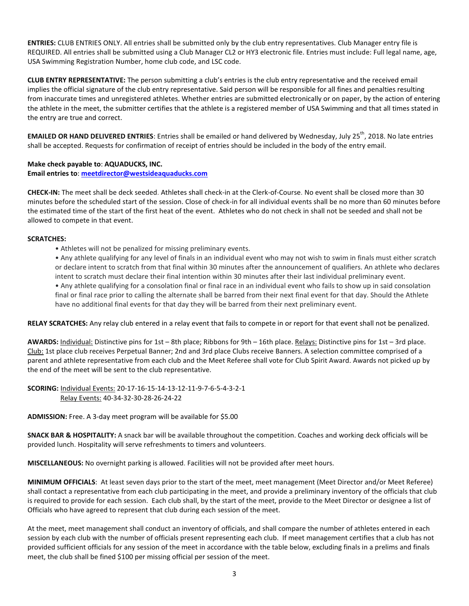**ENTRIES:** CLUB ENTRIES ONLY. All entries shall be submitted only by the club entry representatives. Club Manager entry file is REQUIRED. All entries shall be submitted using a Club Manager CL2 or HY3 electronic file. Entries must include: Full legal name, age, USA Swimming Registration Number, home club code, and LSC code.

**CLUB ENTRY REPRESENTATIVE:** The person submitting a club's entries is the club entry representative and the received email implies the official signature of the club entry representative. Said person will be responsible for all fines and penalties resulting from inaccurate times and unregistered athletes. Whether entries are submitted electronically or on paper, by the action of entering the athlete in the meet, the submitter certifies that the athlete is a registered member of USA Swimming and that all times stated in the entry are true and correct.

**EMAILED OR HAND DELIVERED ENTRIES**: Entries shall be emailed or hand delivered by Wednesday, July 25<sup>th</sup>, 2018. No late entries shall be accepted. Requests for confirmation of receipt of entries should be included in the body of the entry email.

**Make check payable to**: **AQUADUCKS, INC. Email entries to**: **[meetdirector@westsideaquaducks.com](mailto:meetdirector@westsideaquaducks.com)**

**CHECK-IN:** The meet shall be deck seeded. Athletes shall check-in at the Clerk-of-Course. No event shall be closed more than 30 minutes before the scheduled start of the session. Close of check-in for all individual events shall be no more than 60 minutes before the estimated time of the start of the first heat of the event. Athletes who do not check in shall not be seeded and shall not be allowed to compete in that event.

### **SCRATCHES:**

• Athletes will not be penalized for missing preliminary events.

• Any athlete qualifying for any level of finals in an individual event who may not wish to swim in finals must either scratch or declare intent to scratch from that final within 30 minutes after the announcement of qualifiers. An athlete who declares intent to scratch must declare their final intention within 30 minutes after their last individual preliminary event.

• Any athlete qualifying for a consolation final or final race in an individual event who fails to show up in said consolation final or final race prior to calling the alternate shall be barred from their next final event for that day. Should the Athlete have no additional final events for that day they will be barred from their next preliminary event.

**RELAY SCRATCHES:** Any relay club entered in a relay event that fails to compete in or report for that event shall not be penalized.

**AWARDS:** Individual: Distinctive pins for 1st – 8th place; Ribbons for 9th – 16th place. Relays: Distinctive pins for 1st – 3rd place. Club: 1st place club receives Perpetual Banner; 2nd and 3rd place Clubs receive Banners. A selection committee comprised of a parent and athlete representative from each club and the Meet Referee shall vote for Club Spirit Award. Awards not picked up by the end of the meet will be sent to the club representative.

**SCORING:** Individual Events: 20-17-16-15-14-13-12-11-9-7-6-5-4-3-2-1 Relay Events: 40-34-32-30-28-26-24-22

**ADMISSION:** Free. A 3-day meet program will be available for \$5.00

**SNACK BAR & HOSPITALITY:** A snack bar will be available throughout the competition. Coaches and working deck officials will be provided lunch. Hospitality will serve refreshments to timers and volunteers.

**MISCELLANEOUS:** No overnight parking is allowed. Facilities will not be provided after meet hours.

**MINIMUM OFFICIALS**: At least seven days prior to the start of the meet, meet management (Meet Director and/or Meet Referee) shall contact a representative from each club participating in the meet, and provide a preliminary inventory of the officials that club is required to provide for each session. Each club shall, by the start of the meet, provide to the Meet Director or designee a list of Officials who have agreed to represent that club during each session of the meet.

At the meet, meet management shall conduct an inventory of officials, and shall compare the number of athletes entered in each session by each club with the number of officials present representing each club. If meet management certifies that a club has not provided sufficient officials for any session of the meet in accordance with the table below, excluding finals in a prelims and finals meet, the club shall be fined \$100 per missing official per session of the meet.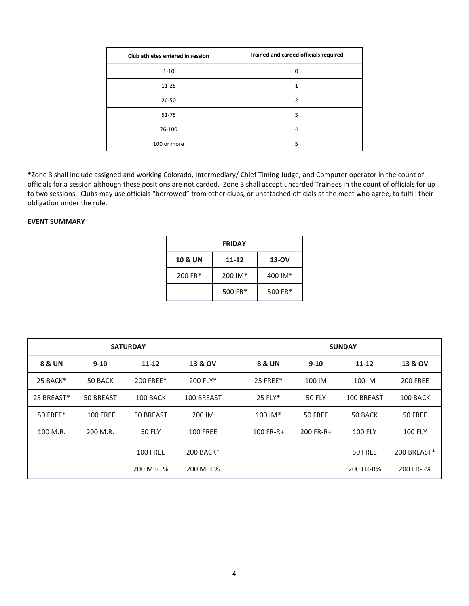| Club athletes entered in session | Trained and carded officials required |
|----------------------------------|---------------------------------------|
| $1 - 10$                         | 0                                     |
| $11 - 25$                        |                                       |
| $26 - 50$                        | 2                                     |
| $51 - 75$                        | 3                                     |
| 76-100                           | 4                                     |
| 100 or more                      | 5                                     |

\*Zone 3 shall include assigned and working Colorado, Intermediary/ Chief Timing Judge, and Computer operator in the count of officials for a session although these positions are not carded. Zone 3 shall accept uncarded Trainees in the count of officials for up to two sessions. Clubs may use officials "borrowed" from other clubs, or unattached officials at the meet who agree, to fulfill their obligation under the rule.

# **EVENT SUMMARY**

| <b>FRIDAY</b>      |         |         |  |  |  |
|--------------------|---------|---------|--|--|--|
| <b>10 &amp; UN</b> | 11-12   | 13-OV   |  |  |  |
| 200 FR*            | 200 IM* | 400 IM* |  |  |  |
|                    | 500 FR* | 500 FR* |  |  |  |

| <b>SATURDAY</b> |                 |                 | <b>SUNDAY</b>   |             |               |                |                 |
|-----------------|-----------------|-----------------|-----------------|-------------|---------------|----------------|-----------------|
| 8 & UN          | $9 - 10$        | $11 - 12$       | 13 & OV         | 8 & UN      | $9 - 10$      | $11 - 12$      | 13 & OV         |
| 25 BACK*        | 50 BACK         | 200 FREE*       | 200 FLY*        | 25 FREE*    | 100 IM        | 100 IM         | <b>200 FREE</b> |
| 25 BREAST*      | 50 BREAST       | 100 BACK        | 100 BREAST      | 25 FLY*     | <b>50 FLY</b> | 100 BREAST     | 100 BACK        |
| 50 FREE*        | <b>100 FREE</b> | 50 BREAST       | 200 IM          | $100$ IM*   | 50 FREE       | 50 BACK        | 50 FREE         |
| 100 M.R.        | 200 M.R.        | <b>50 FLY</b>   | <b>100 FREE</b> | $100$ FR-R+ | 200 FR-R+     | <b>100 FLY</b> | <b>100 FLY</b>  |
|                 |                 | <b>100 FREE</b> | 200 BACK*       |             |               | 50 FREE        | 200 BREAST*     |
|                 |                 | 200 M.R. %      | 200 M.R.%       |             |               | 200 FR-R%      | 200 FR-R%       |